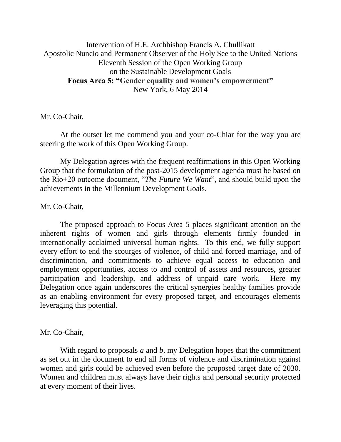Intervention of H.E. Archbishop Francis A. Chullikatt Apostolic Nuncio and Permanent Observer of the Holy See to the United Nations Eleventh Session of the Open Working Group on the Sustainable Development Goals **Focus Area 5: "Gender equality and women's empowerment"** New York, 6 May 2014

Mr. Co-Chair,

At the outset let me commend you and your co-Chiar for the way you are steering the work of this Open Working Group.

My Delegation agrees with the frequent reaffirmations in this Open Working Group that the formulation of the post-2015 development agenda must be based on the Rio+20 outcome document, "*The Future We Want*", and should build upon the achievements in the Millennium Development Goals.

Mr. Co-Chair,

The proposed approach to Focus Area 5 places significant attention on the inherent rights of women and girls through elements firmly founded in internationally acclaimed universal human rights. To this end, we fully support every effort to end the scourges of violence, of child and forced marriage, and of discrimination, and commitments to achieve equal access to education and employment opportunities, access to and control of assets and resources, greater participation and leadership, and address of unpaid care work. Here my Delegation once again underscores the critical synergies healthy families provide as an enabling environment for every proposed target, and encourages elements leveraging this potential.

Mr. Co-Chair,

With regard to proposals *a* and *b*, my Delegation hopes that the commitment as set out in the document to end all forms of violence and discrimination against women and girls could be achieved even before the proposed target date of 2030. Women and children must always have their rights and personal security protected at every moment of their lives.